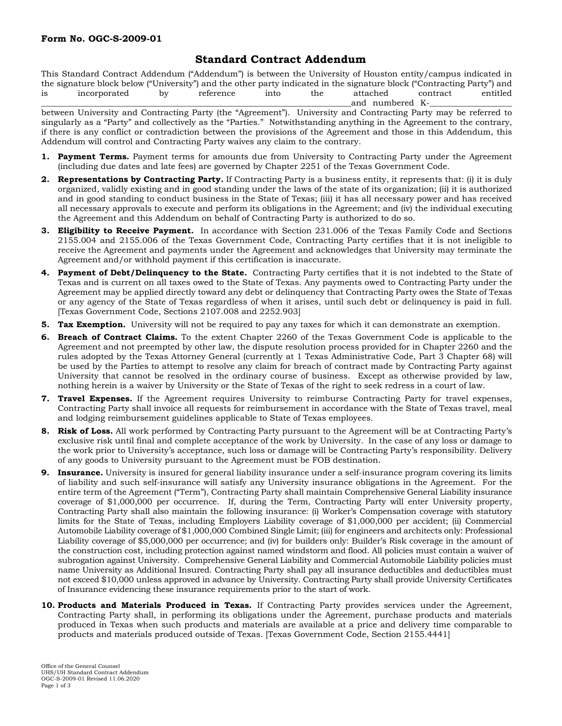## **Standard Contract Addendum**

This Standard Contract Addendum ("Addendum") is between the University of Houston entity/campus indicated in the signature block below ("University") and the other party indicated in the signature block ("Contracting Party") and is incorporated by reference into the attached contract entitled and numbered K-

between University and Contracting Party (the "Agreement"). University and Contracting Party may be referred to singularly as a "Party" and collectively as the "Parties." Notwithstanding anything in the Agreement to the contrary, if there is any conflict or contradiction between the provisions of the Agreement and those in this Addendum, this Addendum will control and Contracting Party waives any claim to the contrary.

- **1. Payment Terms.** Payment terms for amounts due from University to Contracting Party under the Agreement (including due dates and late fees) are governed by Chapter 2251 of the Texas Government Code.
- **2. Representations by Contracting Party.** If Contracting Party is a business entity, it represents that: (i) it is duly organized, validly existing and in good standing under the laws of the state of its organization; (ii) it is authorized and in good standing to conduct business in the State of Texas; (iii) it has all necessary power and has received all necessary approvals to execute and perform its obligations in the Agreement; and (iv) the individual executing the Agreement and this Addendum on behalf of Contracting Party is authorized to do so.
- **3. Eligibility to Receive Payment.** In accordance with Section 231.006 of the Texas Family Code and Sections 2155.004 and 2155.006 of the Texas Government Code, Contracting Party certifies that it is not ineligible to receive the Agreement and payments under the Agreement and acknowledges that University may terminate the Agreement and/or withhold payment if this certification is inaccurate.
- **4. Payment of Debt/Delinquency to the State.** Contracting Party certifies that it is not indebted to the State of Texas and is current on all taxes owed to the State of Texas. Any payments owed to Contracting Party under the Agreement may be applied directly toward any debt or delinquency that Contracting Party owes the State of Texas or any agency of the State of Texas regardless of when it arises, until such debt or delinquency is paid in full. [Texas Government Code, Sections 2107.008 and 2252.903]
- **5. Tax Exemption.** University will not be required to pay any taxes for which it can demonstrate an exemption.
- **6. Breach of Contract Claims.** To the extent Chapter 2260 of the Texas Government Code is applicable to the Agreement and not preempted by other law, the dispute resolution process provided for in Chapter 2260 and the rules adopted by the Texas Attorney General (currently at 1 Texas Administrative Code, Part 3 Chapter 68) will be used by the Parties to attempt to resolve any claim for breach of contract made by Contracting Party against University that cannot be resolved in the ordinary course of business. Except as otherwise provided by law, nothing herein is a waiver by University or the State of Texas of the right to seek redress in a court of law.
- **7. Travel Expenses.** If the Agreement requires University to reimburse Contracting Party for travel expenses, Contracting Party shall invoice all requests for reimbursement in accordance with the State of Texas travel, meal and lodging reimbursement guidelines applicable to State of Texas employees.
- **8. Risk of Loss.** All work performed by Contracting Party pursuant to the Agreement will be at Contracting Party's exclusive risk until final and complete acceptance of the work by University. In the case of any loss or damage to the work prior to University's acceptance, such loss or damage will be Contracting Party's responsibility. Delivery of any goods to University pursuant to the Agreement must be FOB destination.
- **9. Insurance.** University is insured for general liability insurance under a self-insurance program covering its limits of liability and such self-insurance will satisfy any University insurance obligations in the Agreement. For the entire term of the Agreement ("Term"), Contracting Party shall maintain Comprehensive General Liability insurance coverage of \$1,000,000 per occurrence. If, during the Term, Contracting Party will enter University property, Contracting Party shall also maintain the following insurance: (i) Worker's Compensation coverage with statutory limits for the State of Texas, including Employers Liability coverage of \$1,000,000 per accident; (ii) Commercial Automobile Liability coverage of \$1,000,000 Combined Single Limit; (iii) for engineers and architects only: Professional Liability coverage of \$5,000,000 per occurrence; and (iv) for builders only: Builder's Risk coverage in the amount of the construction cost, including protection against named windstorm and flood. All policies must contain a waiver of subrogation against University. Comprehensive General Liability and Commercial Automobile Liability policies must name University as Additional Insured. Contracting Party shall pay all insurance deductibles and deductibles must not exceed \$10,000 unless approved in advance by University. Contracting Party shall provide University Certificates of Insurance evidencing these insurance requirements prior to the start of work.
- **10. Products and Materials Produced in Texas.** If Contracting Party provides services under the Agreement, Contracting Party shall, in performing its obligations under the Agreement, purchase products and materials produced in Texas when such products and materials are available at a price and delivery time comparable to products and materials produced outside of Texas. [Texas Government Code, Section 2155.4441]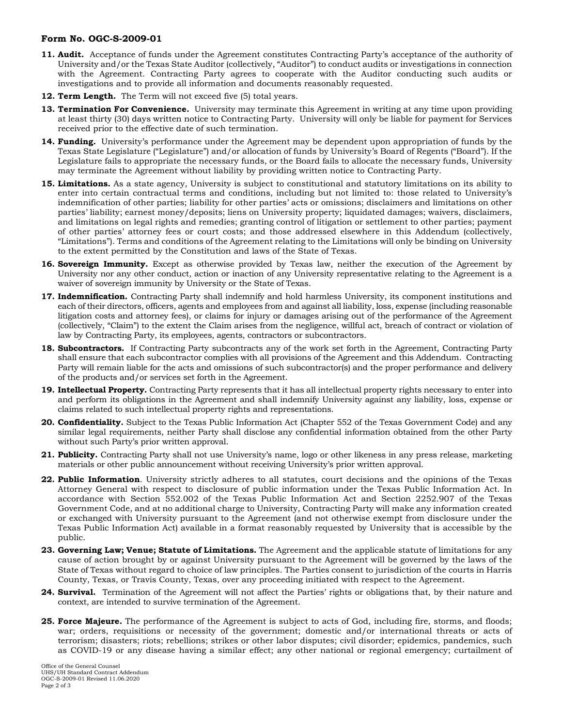## **Form No. OGC-S-2009-01**

- **11. Audit.** Acceptance of funds under the Agreement constitutes Contracting Party's acceptance of the authority of University and/or the Texas State Auditor (collectively, "Auditor") to conduct audits or investigations in connection with the Agreement. Contracting Party agrees to cooperate with the Auditor conducting such audits or investigations and to provide all information and documents reasonably requested.
- **12. Term Length.** The Term will not exceed five (5) total years.
- **13. Termination For Convenience.** University may terminate this Agreement in writing at any time upon providing at least thirty (30) days written notice to Contracting Party. University will only be liable for payment for Services received prior to the effective date of such termination.
- **14. Funding.** University's performance under the Agreement may be dependent upon appropriation of funds by the Texas State Legislature ("Legislature") and/or allocation of funds by University's Board of Regents ("Board"). If the Legislature fails to appropriate the necessary funds, or the Board fails to allocate the necessary funds, University may terminate the Agreement without liability by providing written notice to Contracting Party.
- **15. Limitations.** As a state agency, University is subject to constitutional and statutory limitations on its ability to enter into certain contractual terms and conditions, including but not limited to: those related to University's indemnification of other parties; liability for other parties' acts or omissions; disclaimers and limitations on other parties' liability; earnest money/deposits; liens on University property; liquidated damages; waivers, disclaimers, and limitations on legal rights and remedies; granting control of litigation or settlement to other parties; payment of other parties' attorney fees or court costs; and those addressed elsewhere in this Addendum (collectively, "Limitations"). Terms and conditions of the Agreement relating to the Limitations will only be binding on University to the extent permitted by the Constitution and laws of the State of Texas.
- **16. Sovereign Immunity.** Except as otherwise provided by Texas law, neither the execution of the Agreement by University nor any other conduct, action or inaction of any University representative relating to the Agreement is a waiver of sovereign immunity by University or the State of Texas.
- **17. Indemnification.** Contracting Party shall indemnify and hold harmless University, its component institutions and each of their directors, officers, agents and employees from and against all liability, loss, expense (including reasonable litigation costs and attorney fees), or claims for injury or damages arising out of the performance of the Agreement (collectively, "Claim") to the extent the Claim arises from the negligence, willful act, breach of contract or violation of law by Contracting Party, its employees, agents, contractors or subcontractors.
- **18. Subcontractors.** If Contracting Party subcontracts any of the work set forth in the Agreement, Contracting Party shall ensure that each subcontractor complies with all provisions of the Agreement and this Addendum. Contracting Party will remain liable for the acts and omissions of such subcontractor(s) and the proper performance and delivery of the products and/or services set forth in the Agreement.
- **19. Intellectual Property.** Contracting Party represents that it has all intellectual property rights necessary to enter into and perform its obligations in the Agreement and shall indemnify University against any liability, loss, expense or claims related to such intellectual property rights and representations.
- **20. Confidentiality.** Subject to the Texas Public Information Act (Chapter 552 of the Texas Government Code) and any similar legal requirements, neither Party shall disclose any confidential information obtained from the other Party without such Party's prior written approval.
- **21. Publicity.** Contracting Party shall not use University's name, logo or other likeness in any press release, marketing materials or other public announcement without receiving University's prior written approval.
- **22. Public Information**. University strictly adheres to all statutes, court decisions and the opinions of the Texas Attorney General with respect to disclosure of public information under the Texas Public Information Act. In accordance with Section 552.002 of the Texas Public Information Act and Section 2252.907 of the Texas Government Code, and at no additional charge to University, Contracting Party will make any information created or exchanged with University pursuant to the Agreement (and not otherwise exempt from disclosure under the Texas Public Information Act) available in a format reasonably requested by University that is accessible by the public.
- **23. Governing Law; Venue; Statute of Limitations.** The Agreement and the applicable statute of limitations for any cause of action brought by or against University pursuant to the Agreement will be governed by the laws of the State of Texas without regard to choice of law principles. The Parties consent to jurisdiction of the courts in Harris County, Texas, or Travis County, Texas, over any proceeding initiated with respect to the Agreement.
- **24. Survival.** Termination of the Agreement will not affect the Parties' rights or obligations that, by their nature and context, are intended to survive termination of the Agreement.
- **25. Force Majeure.** The performance of the Agreement is subject to acts of God, including fire, storms, and floods; war; orders, requisitions or necessity of the government; domestic and/or international threats or acts of terrorism; disasters; riots; rebellions; strikes or other labor disputes; civil disorder; epidemics, pandemics, such as COVID-19 or any disease having a similar effect; any other national or regional emergency; curtailment of